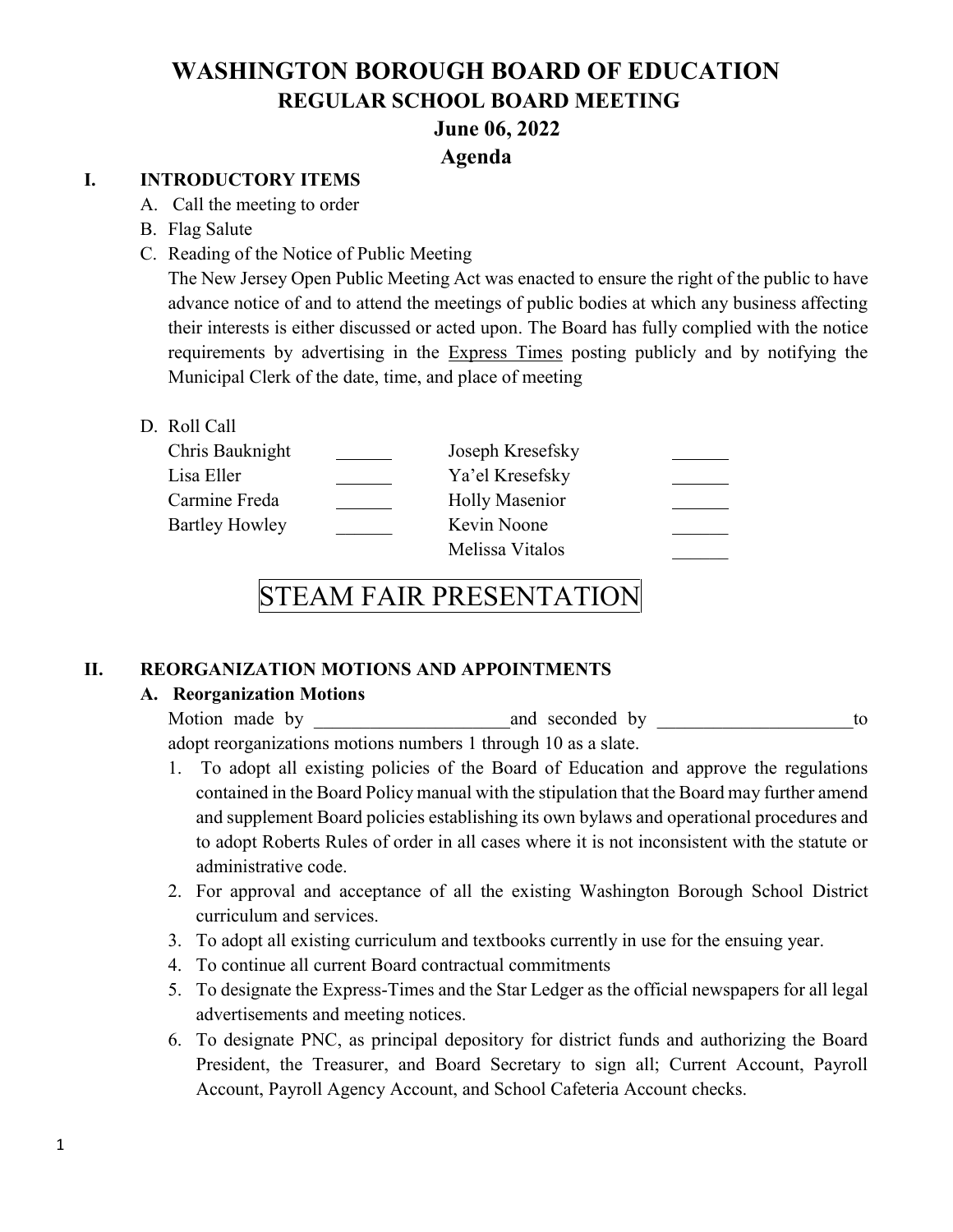#### **Agenda**

#### **I. INTRODUCTORY ITEMS**

- A. Call the meeting to order
- B. Flag Salute
- C. Reading of the Notice of Public Meeting

The New Jersey Open Public Meeting Act was enacted to ensure the right of the public to have advance notice of and to attend the meetings of public bodies at which any business affecting their interests is either discussed or acted upon. The Board has fully complied with the notice requirements by advertising in the Express Times posting publicly and by notifying the Municipal Clerk of the date, time, and place of meeting

D. Roll Call

| Chris Bauknight | Joseph Kresefsky      |  |
|-----------------|-----------------------|--|
| Lisa Eller      | Ya'el Kresefsky       |  |
| Carmine Freda   | <b>Holly Masenior</b> |  |
| Bartley Howley  | Kevin Noone           |  |
|                 | Melissa Vitalos       |  |

# STEAM FAIR PRESENTATION

#### **II. REORGANIZATION MOTIONS AND APPOINTMENTS**

#### **A. Reorganization Motions**

Motion made by and seconded by to adopt reorganizations motions numbers 1 through 10 as a slate.

- 1. To adopt all existing policies of the Board of Education and approve the regulations contained in the Board Policy manual with the stipulation that the Board may further amend and supplement Board policies establishing its own bylaws and operational procedures and to adopt Roberts Rules of order in all cases where it is not inconsistent with the statute or administrative code.
- 2. For approval and acceptance of all the existing Washington Borough School District curriculum and services.
- 3. To adopt all existing curriculum and textbooks currently in use for the ensuing year.
- 4. To continue all current Board contractual commitments
- 5. To designate the Express-Times and the Star Ledger as the official newspapers for all legal advertisements and meeting notices.
- 6. To designate PNC, as principal depository for district funds and authorizing the Board President, the Treasurer, and Board Secretary to sign all; Current Account, Payroll Account, Payroll Agency Account, and School Cafeteria Account checks.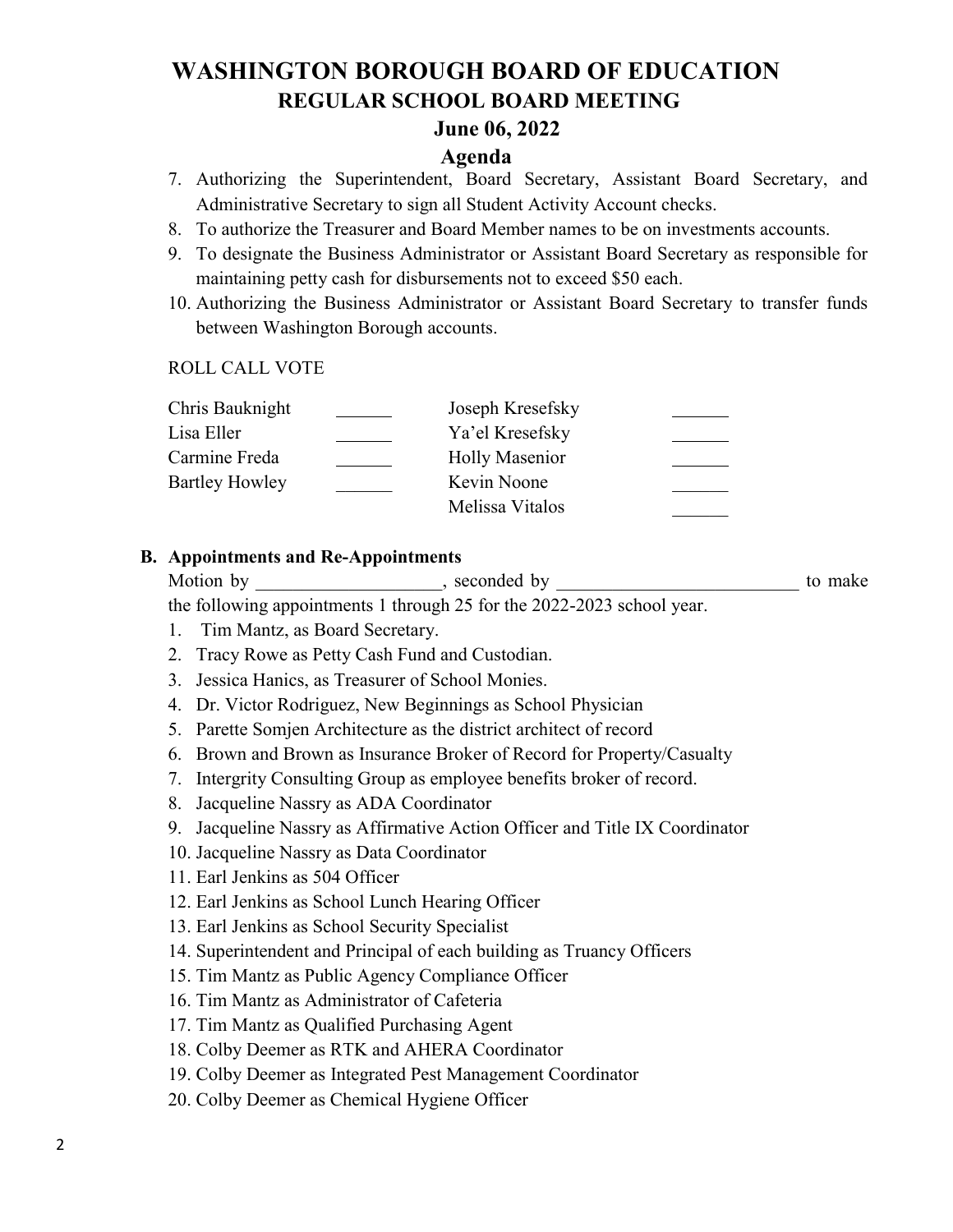### **June 06, 2022**

#### **Agenda**

- 7. Authorizing the Superintendent, Board Secretary, Assistant Board Secretary, and Administrative Secretary to sign all Student Activity Account checks.
- 8. To authorize the Treasurer and Board Member names to be on investments accounts.
- 9. To designate the Business Administrator or Assistant Board Secretary as responsible for maintaining petty cash for disbursements not to exceed \$50 each.
- 10. Authorizing the Business Administrator or Assistant Board Secretary to transfer funds between Washington Borough accounts.

#### ROLL CALL VOTE

| Chris Bauknight       | Joseph Kresefsky      |  |
|-----------------------|-----------------------|--|
| Lisa Eller            | Ya'el Kresefsky       |  |
| Carmine Freda         | <b>Holly Masenior</b> |  |
| <b>Bartley Howley</b> | Kevin Noone           |  |
|                       | Melissa Vitalos       |  |
|                       |                       |  |

#### **B. Appointments and Re-Appointments**

Motion by \_\_\_\_\_\_\_\_\_\_\_\_\_\_\_, seconded by \_\_\_\_\_\_\_\_\_\_\_\_\_\_\_\_\_\_\_\_\_\_\_\_\_\_\_\_ to make the following appointments 1 through 25 for the 2022-2023 school year.

- 1. Tim Mantz, as Board Secretary.
- 2. Tracy Rowe as Petty Cash Fund and Custodian.
- 3. Jessica Hanics, as Treasurer of School Monies.
- 4. Dr. Victor Rodriguez, New Beginnings as School Physician
- 5. Parette Somjen Architecture as the district architect of record
- 6. Brown and Brown as Insurance Broker of Record for Property/Casualty
- 7. Intergrity Consulting Group as employee benefits broker of record.
- 8. Jacqueline Nassry as ADA Coordinator
- 9. Jacqueline Nassry as Affirmative Action Officer and Title IX Coordinator
- 10. Jacqueline Nassry as Data Coordinator
- 11. Earl Jenkins as 504 Officer
- 12. Earl Jenkins as School Lunch Hearing Officer
- 13. Earl Jenkins as School Security Specialist
- 14. Superintendent and Principal of each building as Truancy Officers
- 15. Tim Mantz as Public Agency Compliance Officer
- 16. Tim Mantz as Administrator of Cafeteria
- 17. Tim Mantz as Qualified Purchasing Agent
- 18. Colby Deemer as RTK and AHERA Coordinator
- 19. Colby Deemer as Integrated Pest Management Coordinator
- 20. Colby Deemer as Chemical Hygiene Officer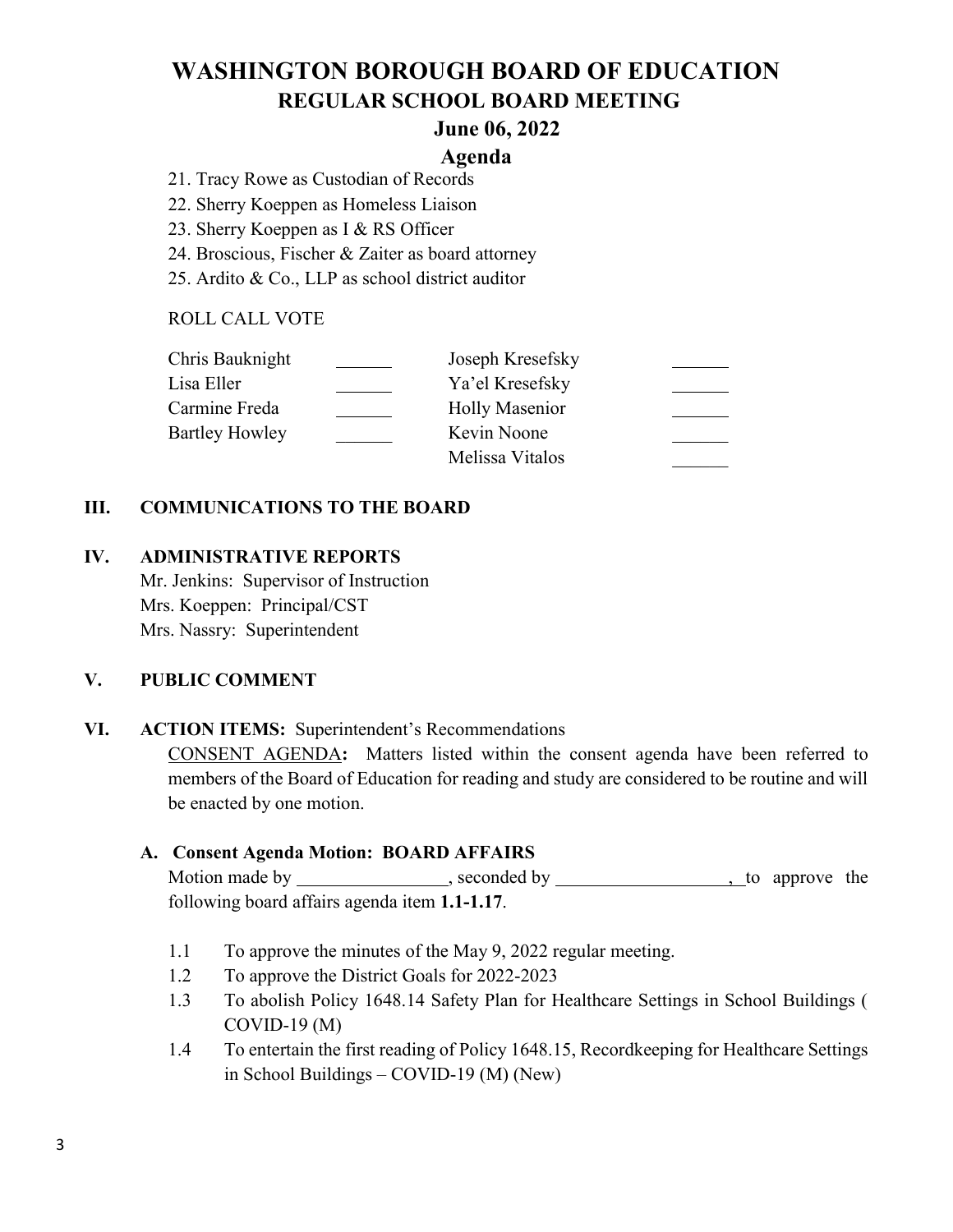#### **June 06, 2022**

#### **Agenda**

- 21. Tracy Rowe as Custodian of Records
- 22. Sherry Koeppen as Homeless Liaison
- 23. Sherry Koeppen as I & RS Officer
- 24. Broscious, Fischer & Zaiter as board attorney
- 25. Ardito & Co., LLP as school district auditor

#### ROLL CALL VOTE

| Chris Bauknight       | Joseph Kresefsky      |  |
|-----------------------|-----------------------|--|
| Lisa Eller            | Ya'el Kresefsky       |  |
| Carmine Freda         | <b>Holly Masenior</b> |  |
| <b>Bartley Howley</b> | Kevin Noone           |  |
|                       | Melissa Vitalos       |  |

#### **III. COMMUNICATIONS TO THE BOARD**

#### **IV. ADMINISTRATIVE REPORTS**

Mr. Jenkins: Supervisor of Instruction Mrs. Koeppen: Principal/CST Mrs. Nassry: Superintendent

#### **V. PUBLIC COMMENT**

#### **VI. ACTION ITEMS:** Superintendent's Recommendations

CONSENT AGENDA**:** Matters listed within the consent agenda have been referred to members of the Board of Education for reading and study are considered to be routine and will be enacted by one motion.

#### **A. Consent Agenda Motion: BOARD AFFAIRS**

Motion made by \_\_\_\_\_\_\_\_\_\_\_\_\_\_, seconded by \_\_\_\_\_\_\_\_\_\_\_\_\_\_\_\_\_\_, to approve the following board affairs agenda item **1.1-1.17**.

- 1.1 To approve the minutes of the May 9, 2022 regular meeting.
- 1.2 To approve the District Goals for 2022-2023
- 1.3 To abolish Policy 1648.14 Safety Plan for Healthcare Settings in School Buildings ( COVID-19 (M)
- 1.4 To entertain the first reading of Policy 1648.15, Recordkeeping for Healthcare Settings in School Buildings – COVID-19 (M) (New)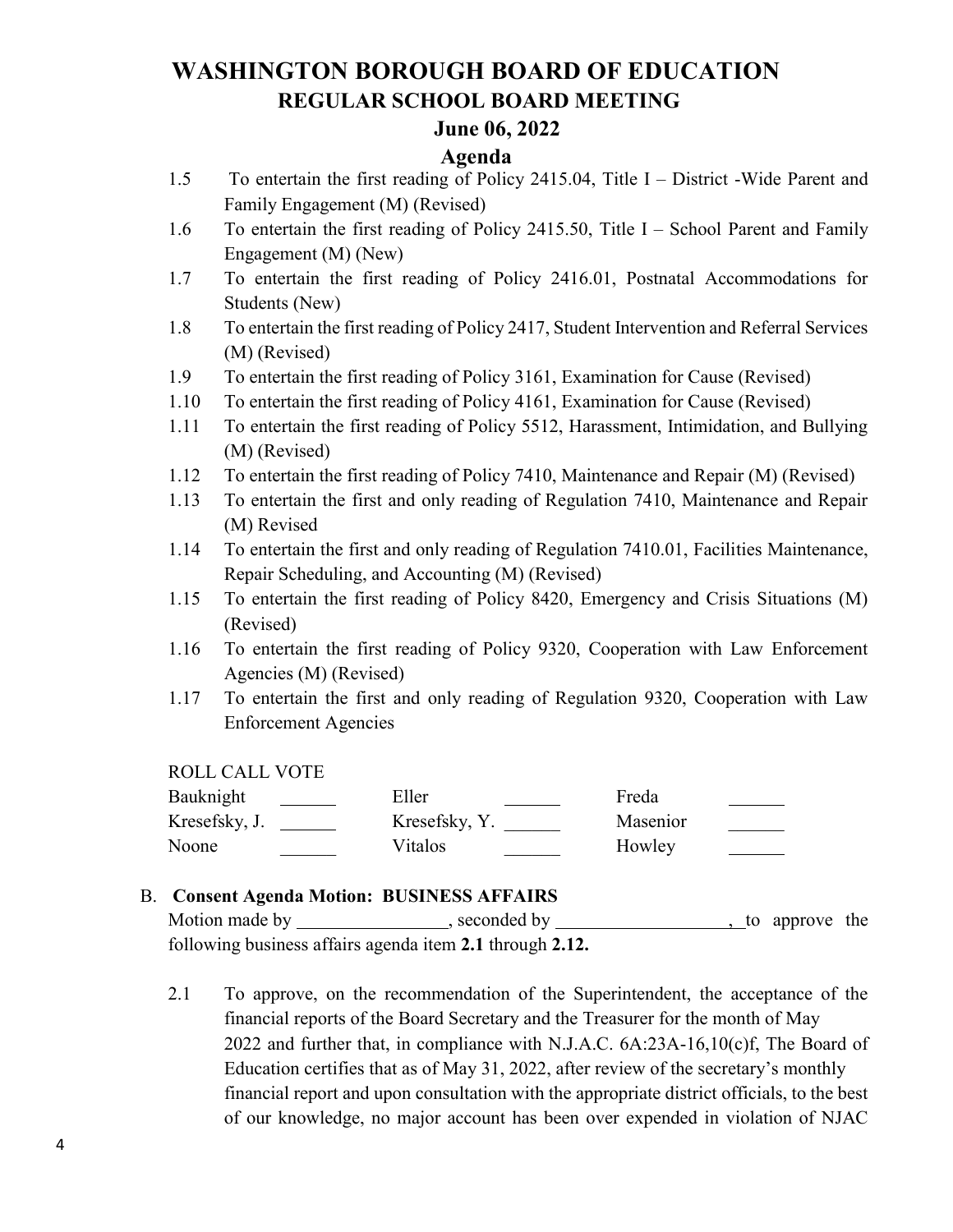#### **June 06, 2022**

#### **Agenda**

- 1.5 To entertain the first reading of Policy 2415.04, Title I District -Wide Parent and Family Engagement (M) (Revised)
- 1.6 To entertain the first reading of Policy 2415.50, Title I School Parent and Family Engagement (M) (New)
- 1.7 To entertain the first reading of Policy 2416.01, Postnatal Accommodations for Students (New)
- 1.8 To entertain the first reading of Policy 2417, Student Intervention and Referral Services (M) (Revised)
- 1.9 To entertain the first reading of Policy 3161, Examination for Cause (Revised)
- 1.10 To entertain the first reading of Policy 4161, Examination for Cause (Revised)
- 1.11 To entertain the first reading of Policy 5512, Harassment, Intimidation, and Bullying (M) (Revised)
- 1.12 To entertain the first reading of Policy 7410, Maintenance and Repair (M) (Revised)
- 1.13 To entertain the first and only reading of Regulation 7410, Maintenance and Repair (M) Revised
- 1.14 To entertain the first and only reading of Regulation 7410.01, Facilities Maintenance, Repair Scheduling, and Accounting (M) (Revised)
- 1.15 To entertain the first reading of Policy 8420, Emergency and Crisis Situations (M) (Revised)
- 1.16 To entertain the first reading of Policy 9320, Cooperation with Law Enforcement Agencies (M) (Revised)
- 1.17 To entertain the first and only reading of Regulation 9320, Cooperation with Law Enforcement Agencies

ROLL CALL VOTE

| Bauknight     | Eller         | Freda    |
|---------------|---------------|----------|
| Kresefsky, J. | Kresefsky, Y. | Masenior |
| Noone         | Vitalos       | Howley   |

#### B. **Consent Agenda Motion: BUSINESS AFFAIRS**

Motion made by \_\_\_\_\_\_\_\_\_\_\_\_\_\_, seconded by \_\_\_\_\_\_\_\_\_\_\_\_\_\_\_\_\_\_\_\_, to approve the following business affairs agenda item **2.1** through **2.12.**

2.1 To approve, on the recommendation of the Superintendent, the acceptance of the financial reports of the Board Secretary and the Treasurer for the month of May 2022 and further that, in compliance with N.J.A.C. 6A:23A-16,10(c)f, The Board of Education certifies that as of May 31, 2022, after review of the secretary's monthly financial report and upon consultation with the appropriate district officials, to the best of our knowledge, no major account has been over expended in violation of NJAC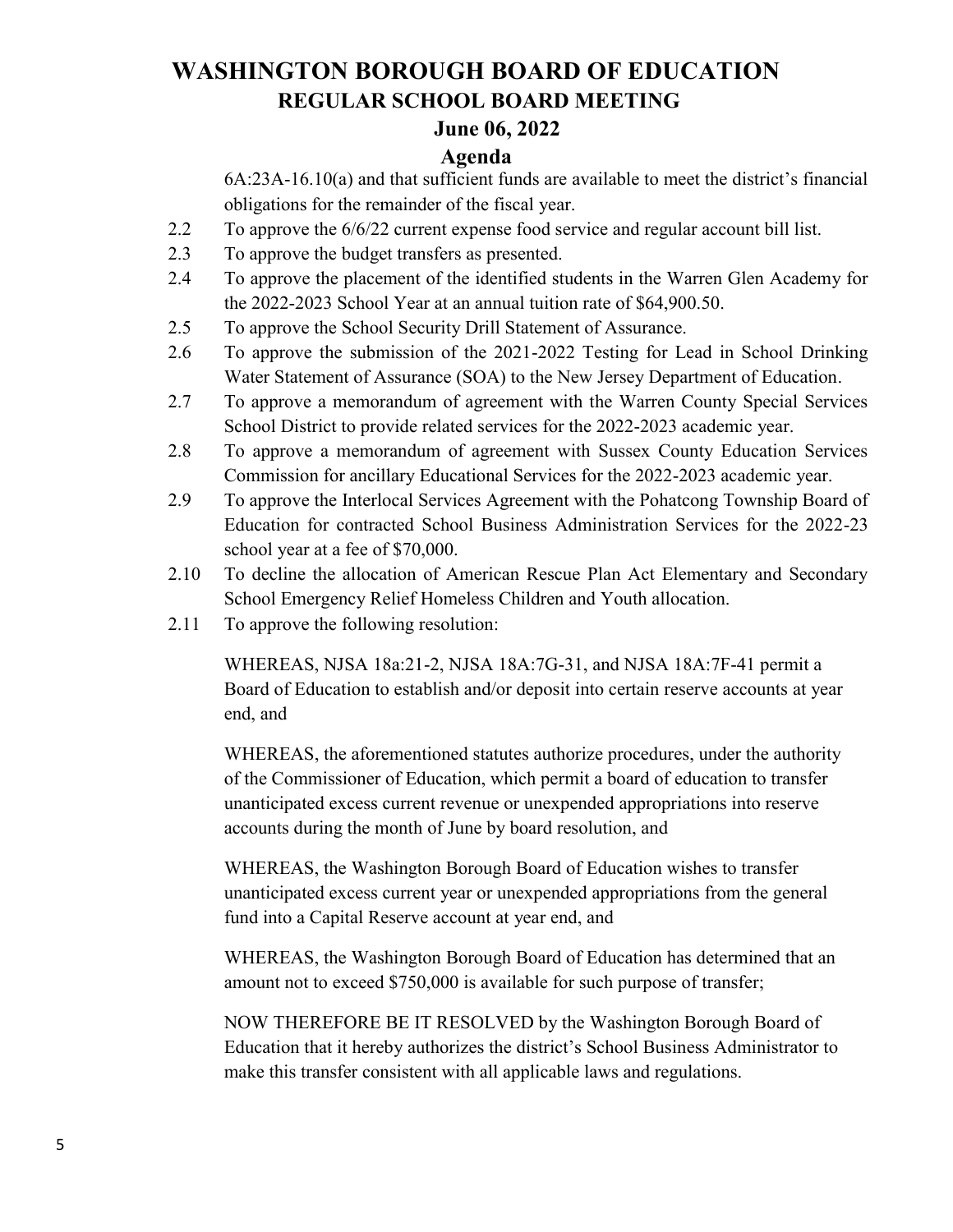### **June 06, 2022**

#### **Agenda**

6A:23A-16.10(a) and that sufficient funds are available to meet the district's financial obligations for the remainder of the fiscal year.

- 2.2 To approve the 6/6/22 current expense food service and regular account bill list.
- 2.3 To approve the budget transfers as presented.
- 2.4 To approve the placement of the identified students in the Warren Glen Academy for the 2022-2023 School Year at an annual tuition rate of \$64,900.50.
- 2.5 To approve the School Security Drill Statement of Assurance.
- 2.6 To approve the submission of the 2021-2022 Testing for Lead in School Drinking Water Statement of Assurance (SOA) to the New Jersey Department of Education.
- 2.7 To approve a memorandum of agreement with the Warren County Special Services School District to provide related services for the 2022-2023 academic year.
- 2.8 To approve a memorandum of agreement with Sussex County Education Services Commission for ancillary Educational Services for the 2022-2023 academic year.
- 2.9 To approve the Interlocal Services Agreement with the Pohatcong Township Board of Education for contracted School Business Administration Services for the 2022-23 school year at a fee of \$70,000.
- 2.10 To decline the allocation of American Rescue Plan Act Elementary and Secondary School Emergency Relief Homeless Children and Youth allocation.
- 2.11 To approve the following resolution:

WHEREAS, NJSA 18a:21-2, NJSA 18A:7G-31, and NJSA 18A:7F-41 permit a Board of Education to establish and/or deposit into certain reserve accounts at year end, and

WHEREAS, the aforementioned statutes authorize procedures, under the authority of the Commissioner of Education, which permit a board of education to transfer unanticipated excess current revenue or unexpended appropriations into reserve accounts during the month of June by board resolution, and

WHEREAS, the Washington Borough Board of Education wishes to transfer unanticipated excess current year or unexpended appropriations from the general fund into a Capital Reserve account at year end, and

WHEREAS, the Washington Borough Board of Education has determined that an amount not to exceed \$750,000 is available for such purpose of transfer;

NOW THEREFORE BE IT RESOLVED by the Washington Borough Board of Education that it hereby authorizes the district's School Business Administrator to make this transfer consistent with all applicable laws and regulations.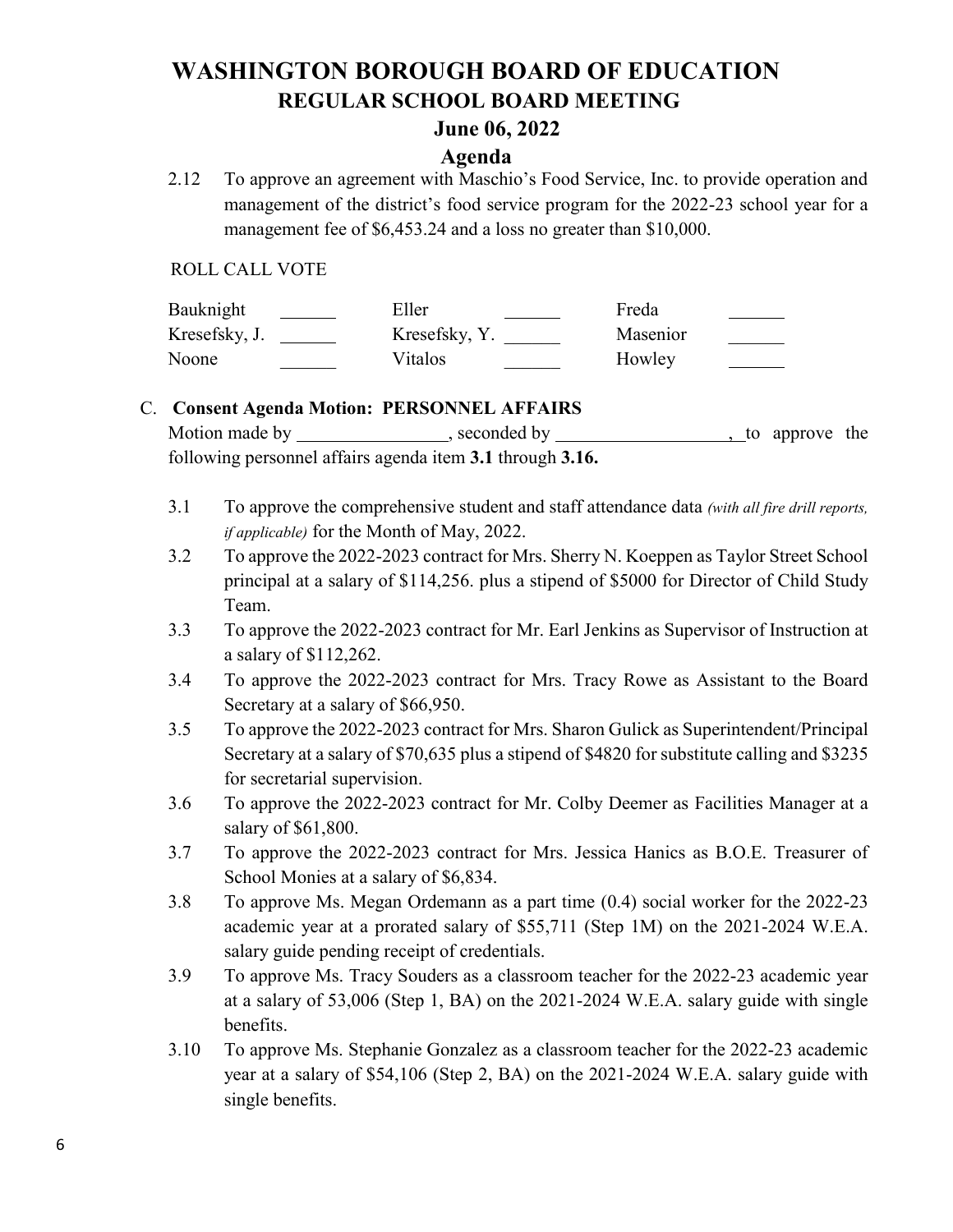#### **June 06, 2022**

#### **Agenda**

2.12 To approve an agreement with Maschio's Food Service, Inc. to provide operation and management of the district's food service program for the 2022-23 school year for a management fee of \$6,453.24 and a loss no greater than \$10,000.

ROLL CALL VOTE

| Bauknight     | Eller         | Freda    |  |
|---------------|---------------|----------|--|
| Kresefsky, J. | Kresefsky, Y. | Masenior |  |
| Noone         | Vitalos       | Howley   |  |

#### C. **Consent Agenda Motion: PERSONNEL AFFAIRS**

Motion made by  $\sim$ , seconded by  $\sim$ , to approve the following personnel affairs agenda item **3.1** through **3.16.**

- 3.1 To approve the comprehensive student and staff attendance data *(with all fire drill reports, if applicable)* for the Month of May, 2022.
- 3.2 To approve the 2022-2023 contract for Mrs. Sherry N. Koeppen as Taylor Street School principal at a salary of \$114,256. plus a stipend of \$5000 for Director of Child Study Team.
- 3.3 To approve the 2022-2023 contract for Mr. Earl Jenkins as Supervisor of Instruction at a salary of \$112,262.
- 3.4 To approve the 2022-2023 contract for Mrs. Tracy Rowe as Assistant to the Board Secretary at a salary of \$66,950.
- 3.5 To approve the 2022-2023 contract for Mrs. Sharon Gulick as Superintendent/Principal Secretary at a salary of \$70,635 plus a stipend of \$4820 for substitute calling and \$3235 for secretarial supervision.
- 3.6 To approve the 2022-2023 contract for Mr. Colby Deemer as Facilities Manager at a salary of \$61,800.
- 3.7 To approve the 2022-2023 contract for Mrs. Jessica Hanics as B.O.E. Treasurer of School Monies at a salary of \$6,834.
- 3.8 To approve Ms. Megan Ordemann as a part time (0.4) social worker for the 2022-23 academic year at a prorated salary of \$55,711 (Step 1M) on the 2021-2024 W.E.A. salary guide pending receipt of credentials.
- 3.9 To approve Ms. Tracy Souders as a classroom teacher for the 2022-23 academic year at a salary of 53,006 (Step 1, BA) on the 2021-2024 W.E.A. salary guide with single benefits.
- 3.10 To approve Ms. Stephanie Gonzalez as a classroom teacher for the 2022-23 academic year at a salary of \$54,106 (Step 2, BA) on the 2021-2024 W.E.A. salary guide with single benefits.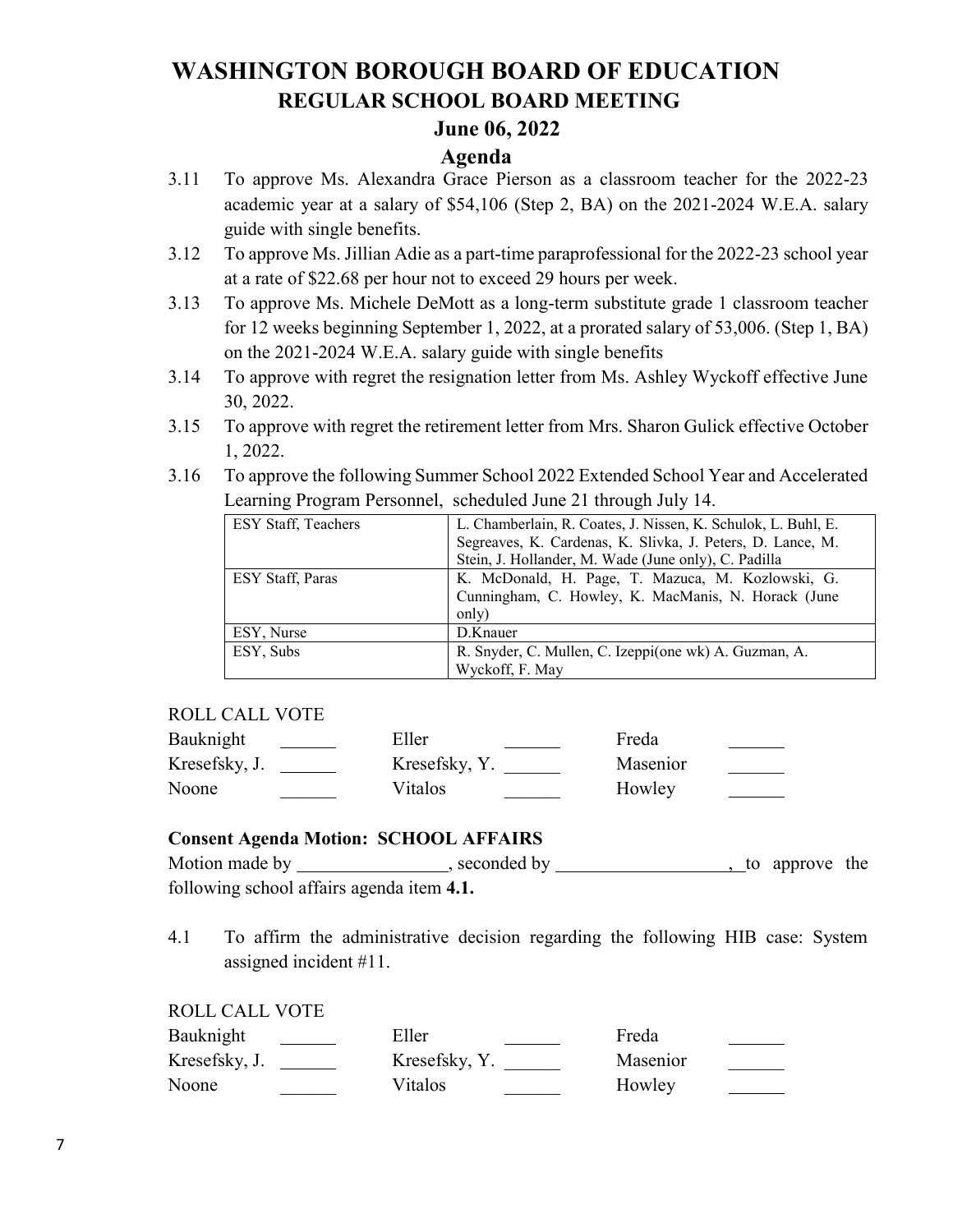### **June 06, 2022**

#### **Agenda**

- 3.11 To approve Ms. Alexandra Grace Pierson as a classroom teacher for the 2022-23 academic year at a salary of \$54,106 (Step 2, BA) on the 2021-2024 W.E.A. salary guide with single benefits.
- 3.12 To approve Ms. Jillian Adie as a part-time paraprofessional for the 2022-23 school year at a rate of \$22.68 per hour not to exceed 29 hours per week.
- 3.13 To approve Ms. Michele DeMott as a long-term substitute grade 1 classroom teacher for 12 weeks beginning September 1, 2022, at a prorated salary of 53,006. (Step 1, BA) on the 2021-2024 W.E.A. salary guide with single benefits
- 3.14 To approve with regret the resignation letter from Ms. Ashley Wyckoff effective June 30, 2022.
- 3.15 To approve with regret the retirement letter from Mrs. Sharon Gulick effective October 1, 2022.
- 3.16 To approve the following Summer School 2022 Extended School Year and Accelerated Learning Program Personnel, scheduled June 21 through July 14.

| <b>ESY Staff, Teachers</b> | L. Chamberlain, R. Coates, J. Nissen, K. Schulok, L. Buhl, E. |
|----------------------------|---------------------------------------------------------------|
|                            | Segreaves, K. Cardenas, K. Slivka, J. Peters, D. Lance, M.    |
|                            | Stein, J. Hollander, M. Wade (June only), C. Padilla          |
| ESY Staff, Paras           | K. McDonald, H. Page, T. Mazuca, M. Kozlowski, G.             |
|                            | Cunningham, C. Howley, K. MacManis, N. Horack (June           |
|                            | only)                                                         |
| ESY, Nurse                 | D.Knauer                                                      |
| ESY, Subs                  | R. Snyder, C. Mullen, C. Izeppi(one wk) A. Guzman, A.         |
|                            | Wyckoff, F. May                                               |

#### ROLL CALL VOTE

| Bauknight     | Eller         | Freda    |
|---------------|---------------|----------|
| Kresefsky, J. | Kresefsky, Y. | Masenior |
| Noone         | Vitalos       | Howley   |

#### **Consent Agenda Motion: SCHOOL AFFAIRS**

| Motion made by | seconded by                               | to approve the |  |
|----------------|-------------------------------------------|----------------|--|
|                | following school affairs agenda item 4.1. |                |  |

4.1 To affirm the administrative decision regarding the following HIB case: System assigned incident #11.

#### ROLL CALL VOTE

| Bauknight     | Eller         | Freda    |
|---------------|---------------|----------|
| Kresefsky, J. | Kresefsky, Y. | Masenior |
| Noone         | Vitalos       | Howley   |